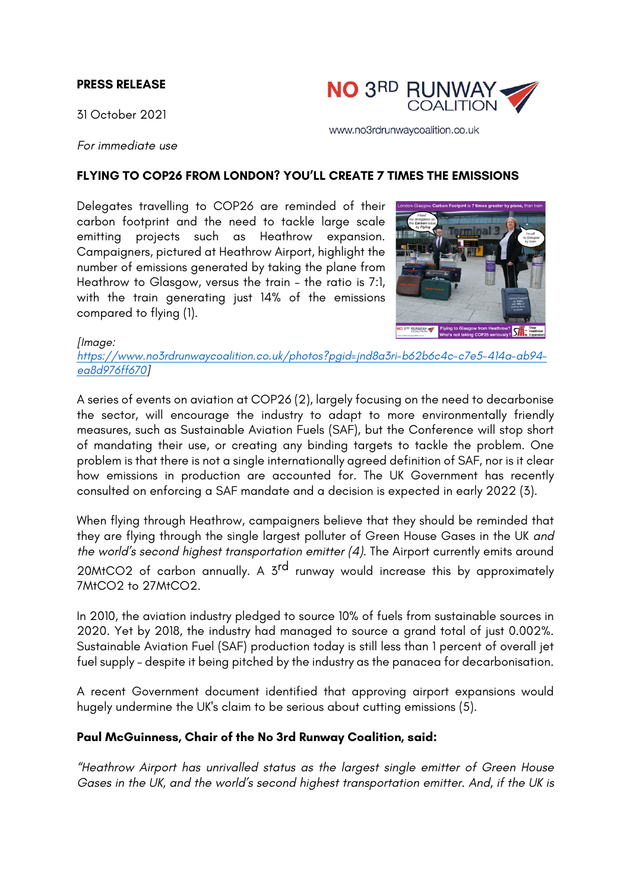### **PRESS RELEASE**

31 October 2021



www.no3rdrunwaycoalition.co.uk

*For immediate use*

#### **FLYING TO COP26 FROM LONDON? YOU'LL CREATE 7 TIMES THE EMISSIONS**

Delegates travelling to COP26 are reminded of their carbon footprint and the need to tackle large scale emitting projects such as Heathrow expansion. Campaigners, pictured at Heathrow Airport, highlight the number of emissions generated by taking the plane from Heathrow to Glasgow, versus the train – the ratio is 7:1, with the train generating just 14% of the emissions compared to flying (1).



*[Image:*

*https://www.no3rdrunwaycoalition.co.uk/photos?pgid=jnd8a3ri-b62b6c4c-c7e5-414a-ab94 ea8d976ff670]*

A series of events on aviation at COP26 (2), largely focusing on the need to decarbonise the sector, will encourage the industry to adapt to more environmentally friendly measures, such as Sustainable Aviation Fuels (SAF), but the Conference will stop short of mandating their use, or creating any binding targets to tackle the problem. One problem is that there is not a single internationally agreed definition of SAF, nor is it clear how emissions in production are accounted for. The UK Government has recently consulted on enforcing a SAF mandate and a decision is expected in early 2022 (3).

When flying through Heathrow, campaigners believe that they should be reminded that they are flying through the single largest polluter of Green House Gases in the UK *and the world's second highest transportation emitter (4)*. The Airport currently emits around 20MtCO2 of carbon annually. A 3<sup>rd</sup> runway would increase this by approximately 7MtCO2 to 27MtCO2.

In 2010, the aviation industry pledged to source 10% of fuels from sustainable sources in 2020. Yet by 2018, the industry had managed to source a grand total of just 0.002%. Sustainable Aviation Fuel (SAF) production today is still less than 1 percent of overall jet fuel supply – despite it being pitched by the industry as the panacea for decarbonisation.

A recent Government document identified that approving airport expansions would hugely undermine the UK's claim to be serious about cutting emissions (5).

### **Paul McGuinness, Chair of the No 3rd Runway Coalition, said:**

*"Heathrow Airport has unrivalled status as the largest single emitter of Green House Gases in the UK, and the world's second highest transportation emitter. And, if the UK is*